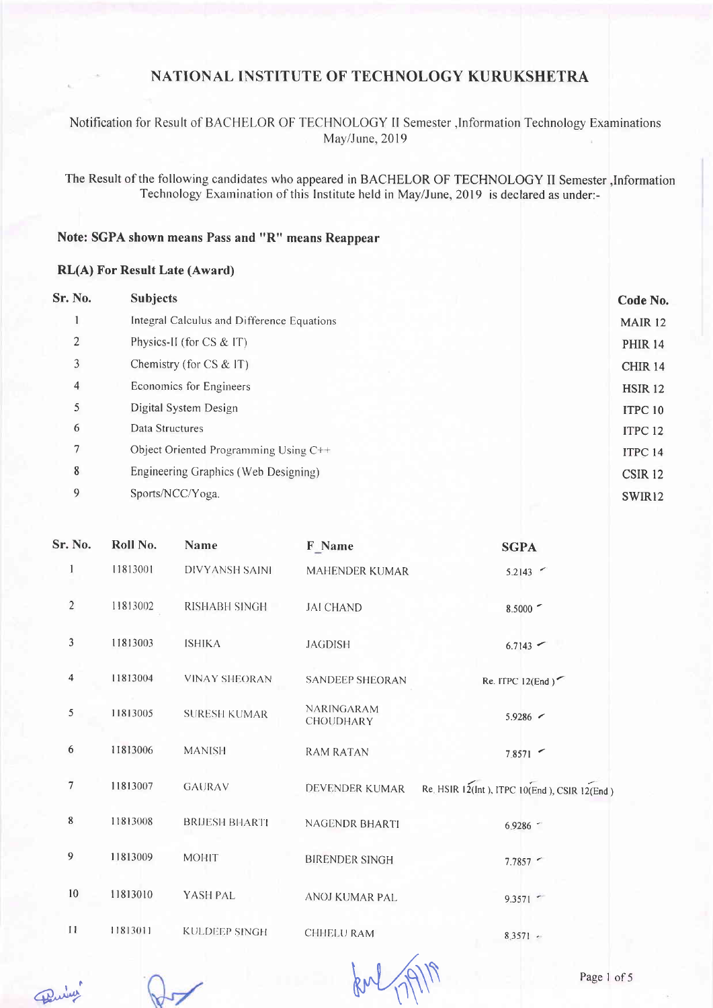#### Notification for Result of BACHELOR OF TECHNOLOGY II Semester , Information Technology Examinations May/June, 2019

The Result of the following candidates who appeared in BACHELOR OF TECHNOLOGY II Semester , Information Technology Examination of this Institute held in May/June, 2019 is declared as under:-

#### Note: SGPA shown means Pass and "R" means Reappear

#### **RL(A) For Result Late (Award)**

| <b>Sr. No.</b> | <b>Subjects</b>                            | Code No.           |
|----------------|--------------------------------------------|--------------------|
|                | Integral Calculus and Difference Equations | <b>MAIR 12</b>     |
| 2              | Physics-II (for CS & IT)                   | <b>PHIR 14</b>     |
| 3              | Chemistry (for $CS \& IT$ )                | <b>CHIR 14</b>     |
| $\overline{4}$ | Economics for Engineers                    | <b>HSIR 12</b>     |
| 5              | Digital System Design                      | ITPC <sub>10</sub> |
| 6              | Data Structures                            | ITPC <sub>12</sub> |
| 7              | Object Oriented Programming Using C++      | ITPC 14            |
| 8              | Engineering Graphics (Web Designing)       | CSIR <sub>12</sub> |
| 9              | Sports/NCC/Yoga.                           | SWIR12             |
|                |                                            |                    |

| Sr. No.        | Roll No. | Name                 | F Name                         | <b>SGPA</b>                                  |
|----------------|----------|----------------------|--------------------------------|----------------------------------------------|
|                | 11813001 | DIVYANSH SAINI       | <b>MAHENDER KUMAR</b>          | 5.2143                                       |
| $\overline{2}$ | 11813002 | RISHABH SINGH        | <b>JAI CHAND</b>               | $8.5000$ $\sim$                              |
| 3              | 11813003 | <b>ISHIKA</b>        | <b>JAGDISH</b>                 | $6.7143$ $-$                                 |
| 4              | 11813004 | <b>VINAY SHEORAN</b> | <b>SANDEEP SHEORAN</b>         | Re. ITPC $12(End)$                           |
| 5              | 11813005 | <b>SURESH KUMAR</b>  | <b>NARINGARAM</b><br>CHOUDHARY | $5.9286$ $\sim$                              |
| 6              | 11813006 | <b>MANISH</b>        | <b>RAM RATAN</b>               | 7.8571                                       |
| 7              | 11813007 | <b>GAURAV</b>        | <b>DEVENDER KUMAR</b>          | Re. HSIR 12(Int), ITPC 10(End), CSIR 12(End) |
| $\,$ 8 $\,$    | 11813008 | <b>BRUESH BHARTI</b> | NAGENDR BHARTI                 | 6.9286                                       |
| 9              | 11813009 | <b>MOHIT</b>         | <b>BIRENDER SINGH</b>          | 7.7857                                       |
| 10             | 11813010 | YASH PAL             | <b>ANOJ KUMAR PAL</b>          | 9.3571                                       |
| 11             | 11813011 | <b>KULDEEP SINGH</b> | CHHELU RAM                     | $8.3571 -$                                   |

forl 17

Puis

 $\sqrt{}$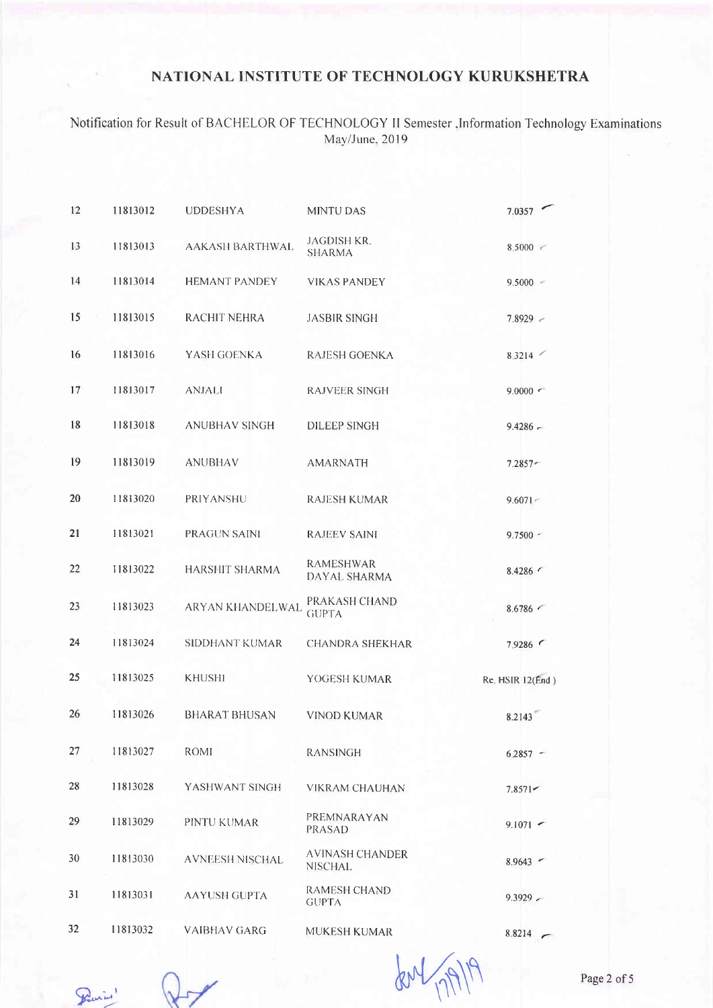Notification for Result of BACHELOR OF TECHNOLOGY II Semester ,Information Technology Examinations<br>May/June, 2019

| 12 | 11813012 | <b>UDDESHYA</b>        | <b>MINTU DAS</b>                  | 7.0357           |
|----|----------|------------------------|-----------------------------------|------------------|
| 13 | 11813013 | <b>AAKASH BARTHWAL</b> | JAGDISH KR.<br><b>SHARMA</b>      | 8.5000           |
| 14 | 11813014 | <b>HEMANT PANDEY</b>   | <b>VIKAS PANDEY</b>               | $9.5000 -$       |
| 15 | 11813015 | RACHIT NEHRA           | <b>JASBIR SINGH</b>               | 7.8929           |
| 16 | 11813016 | YASH GOENKA            | RAJESH GOENKA                     | 8.3214           |
| 17 | 11813017 | <b>ANJALI</b>          | <b>RAJVEER SINGH</b>              | 9.0000           |
| 18 | 11813018 | <b>ANUBHAV SINGH</b>   | <b>DILEEP SINGH</b>               | $9.4286 -$       |
| 19 | 11813019 | <b>ANUBHAV</b>         | <b>AMARNATH</b>                   | $7.2857 -$       |
| 20 | 11813020 | PRIYANSHU              | <b>RAJESH KUMAR</b>               | $9.6071 -$       |
| 21 | 11813021 | <b>PRAGUN SAINI</b>    | <b>RAJEEV SAINI</b>               | $9.7500$ $\leq$  |
| 22 | 11813022 | <b>HARSHIT SHARMA</b>  | <b>RAMESHWAR</b><br>DAYAL SHARMA  | $8.4286$ $\leq$  |
| 23 | 11813023 | ARYAN KHANDELWAL       | PRAKASH CHAND<br><b>GUPTA</b>     | 8.6786           |
| 24 | 11813024 | <b>SIDDHANT KUMAR</b>  | <b>CHANDRA SHEKHAR</b>            | 7.9286           |
| 25 | 11813025 | <b>KHUSHI</b>          | YOGESH KUMAR                      | Re. HSIR 12(End) |
| 26 | 11813026 | <b>BHARAT BHUSAN</b>   | <b>VINOD KUMAR</b>                | 8.2143           |
| 27 | 11813027 | ROMI                   | <b>RANSINGH</b>                   | $6.2857 -$       |
| 28 | 11813028 | YASHWANT SINGH         | <b>VIKRAM CHAUHAN</b>             | $7.8571 -$       |
| 29 | 11813029 | PINTU KUMAR            | PREMNARAYAN<br>PRASAD             | $9.1071$ $\sim$  |
| 30 | 11813030 | <b>AVNEESH NISCHAL</b> | <b>AVINASH CHANDER</b><br>NISCHAL | $8.9643$ ~       |
| 31 | 11813031 | <b>AAYUSH GUPTA</b>    | RAMESH CHAND<br><b>GUPTA</b>      | 9.3929           |
| 32 | 11813032 | <b>VAIBHAV GARG</b>    | MUKESH KUMAR                      | 8.8214           |

Previos"

our !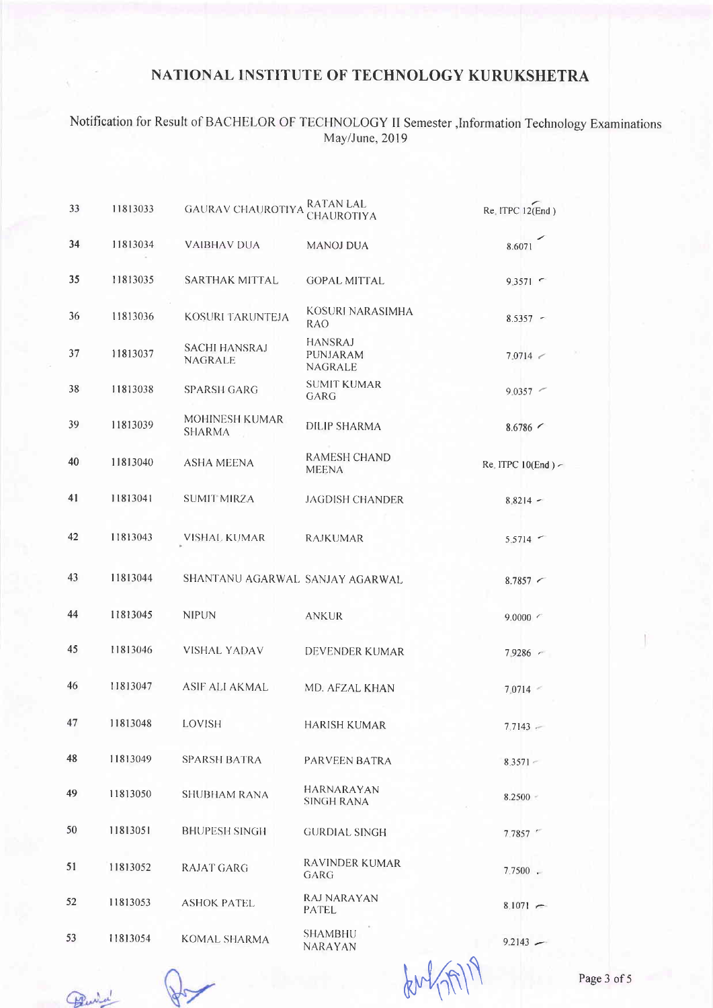# Notification for Result of BACHELOR OF TECHNOLOGY II Semester ,Information Technology Examinations May/June, 2019

| 33 | 11813033 | <b>GAURAV CHAUROTIYA</b>               | <b>RATAN LAL</b><br>CHAUROTIYA               | $Re$ , ITPC 12 $(End)$ |
|----|----------|----------------------------------------|----------------------------------------------|------------------------|
| 34 | 11813034 | <b>VAIBHAV DUA</b>                     | <b>MANOJ DUA</b>                             | 8.6071                 |
| 35 | 11813035 | <b>SARTHAK MITTAL</b>                  | <b>GOPAL MITTAL</b>                          | $9.3571$ $\sim$        |
| 36 | 11813036 | KOSURI TARUNTEJA                       | KOSURI NARASIMHA<br>RAO.                     | $8.5357 -$             |
| 37 | 11813037 | <b>SACHI HANSRAJ</b><br><b>NAGRALE</b> | <b>HANSRAJ</b><br>PUNJARAM<br><b>NAGRALE</b> | 7.0714 <               |
| 38 | 11813038 | <b>SPARSH GARG</b>                     | <b>SUMIT KUMAR</b><br>GARG                   | $9.0357$ $\sim$        |
| 39 | 11813039 | <b>MOHINESH KUMAR</b><br><b>SHARMA</b> | <b>DILIP SHARMA</b>                          | 8.6786                 |
| 40 | 11813040 | <b>ASHA MEENA</b>                      | <b>RAMESH CHAND</b><br><b>MEENA</b>          | Re. ITPC 10(End)       |
| 41 | 11813041 | <b>SUMIT MIRZA</b>                     | <b>JAGDISH CHANDER</b>                       | $8,8214 -$             |
| 42 | 11813043 | VISHAL KUMAR                           | <b>RAJKUMAR</b>                              | $5.5714$ $\sim$        |
| 43 | 11813044 | SHANTANU AGARWAL SANJAY AGARWAL        |                                              | $8.7857$ $\sim$        |
| 44 | 11813045 | <b>NIPUN</b>                           | <b>ANKUR</b>                                 | 9.0000 <               |
| 45 | 11813046 | <b>VISHAL YADAV</b>                    | DEVENDER KUMAR                               | $7.9286$ $\sim$        |
| 46 | 11813047 | <b>ASIF ALI AKMAL</b>                  | MD. AFZAL KHAN                               | $7.0714 -$             |
| 47 | 11813048 | <b>LOVISH</b>                          | <b>HARISH KUMAR</b>                          | $7.7143 -$             |
| 48 | 11813049 | <b>SPARSH BATRA</b>                    | PARVEEN BATRA                                | $8.3571 -$             |
| 49 | 11813050 | SHUBHAM RANA                           | <b>HARNARAYAN</b><br><b>SINGH RANA</b>       | 8.2500                 |
| 50 | 11813051 | <b>BHUPESH SINGH</b>                   | <b>GURDIAL SINGH</b>                         | 7.7857                 |
| 51 | 11813052 | <b>RAJAT GARG</b>                      | <b>RAVINDER KUMAR</b><br>GARG                | $7.7500$ .             |
| 52 | 11813053 | <b>ASHOK PATEL</b>                     | <b>RAJ NARAYAN</b><br>PATEL                  | $8,1071 -$             |
| 53 | 11813054 | <b>KOMAL SHARMA</b>                    | SHAMBHU<br>NARAYAN                           | $9.2143 -$             |

Punta

fort (m)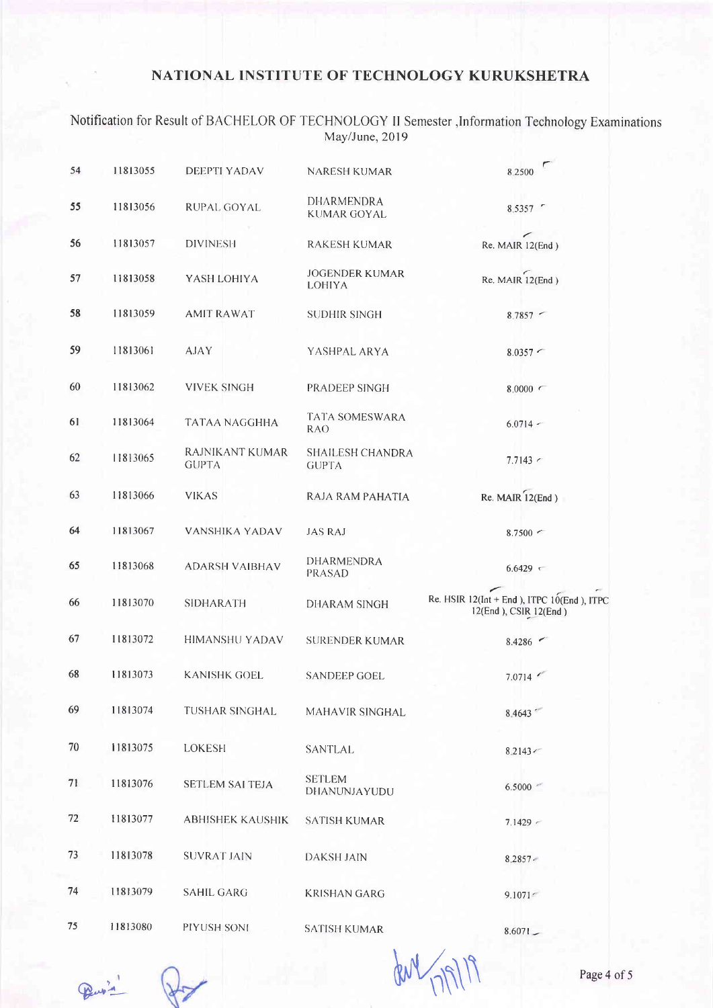Notification for Result of BACHELOR OF TECHNOLOGY II Semester , Information Technology Examinations<br>May/June, 2019

| 54 | 11813055 | <b>DEEPTI YADAV</b>             | NARESH KUMAR                            | 8 2 5 0 0                                                                 |
|----|----------|---------------------------------|-----------------------------------------|---------------------------------------------------------------------------|
| 55 | 11813056 | RUPAL GOYAL                     | <b>DHARMENDRA</b><br><b>KUMAR GOYAL</b> | 8.5357 -                                                                  |
| 56 | 11813057 | <b>DIVINESH</b>                 | <b>RAKESH KUMAR</b>                     | Re. MAIR 12(End)                                                          |
| 57 | 11813058 | YASH LOHIYA                     | <b>JOGENDER KUMAR</b><br>LOHIYA         | Re. MAIR 12(End)                                                          |
| 58 | 11813059 | <b>AMIT RAWAT</b>               | <b>SUDHIR SINGH</b>                     | $8.7857$ $-$                                                              |
| 59 | 11813061 | AJAY                            | YASHPAL ARYA                            | $8.0357$ $\sim$                                                           |
| 60 | 11813062 | <b>VIVEK SINGH</b>              | PRADEEP SINGH                           | 8.0000                                                                    |
| 61 | 11813064 | <b>TATAA NAGGHHA</b>            | TATA SOMESWARA<br><b>RAO</b>            | $6.0714 -$                                                                |
| 62 | 11813065 | RAJNIKANT KUMAR<br><b>GUPTA</b> | SHAILESH CHANDRA<br><b>GUPTA</b>        | $7.7143$ $\sim$                                                           |
| 63 | 11813066 | <b>VIKAS</b>                    | RAJA RAM PAHATIA                        | $Re. MAIR$ $12(End)$                                                      |
| 64 | 11813067 | <b>VANSHIKA YADAV</b>           | <b>JAS RAJ</b>                          | $8.7500$ $\sim$                                                           |
| 65 | 11813068 | <b>ADARSH VAIBHAV</b>           | DHARMENDRA<br><b>PRASAD</b>             | 6.6429                                                                    |
| 66 | 11813070 | <b>SIDHARATH</b>                | <b>DHARAM SINGH</b>                     | Re. HSIR $12$ (Int + End), ITPC $10$ (End), ITPC<br>12(End), CSIR 12(End) |
| 67 | 11813072 | <b>HIMANSHU YADAV</b>           | <b>SURENDER KUMAR</b>                   | 8.4286                                                                    |
| 68 | 11813073 | <b>KANISHK GOEL</b>             | <b>SANDEEP GOEL</b>                     | 7.0714                                                                    |
| 69 | 11813074 | TUSHAR SINGHAL                  | MAHAVIR SINGHAL                         | 8.4643                                                                    |
| 70 | 11813075 | <b>LOKESH</b>                   | SANTLAL                                 | 8.2143                                                                    |
| 71 | 11813076 | <b>SETLEM SAI TEJA</b>          | <b>SETLEM</b><br>DHANUNJAYUDU           | 6.5000                                                                    |
| 72 | 11813077 | <b>ABHISHEK KAUSHIK</b>         | <b>SATISH KUMAR</b>                     | $7.1429$ $\sim$                                                           |
| 73 | 11813078 | <b>SUVRAT JAIN</b>              | <b>DAKSH JAIN</b>                       | 8.2857.                                                                   |
| 74 | 11813079 | <b>SAHIL GARG</b>               | <b>KRISHAN GARG</b>                     | 9.1071                                                                    |
| 75 | 11813080 | PIYUSH SONI                     | <b>SATISH KUMAR</b>                     | 9.6071                                                                    |

Peup's

den 17/9/19